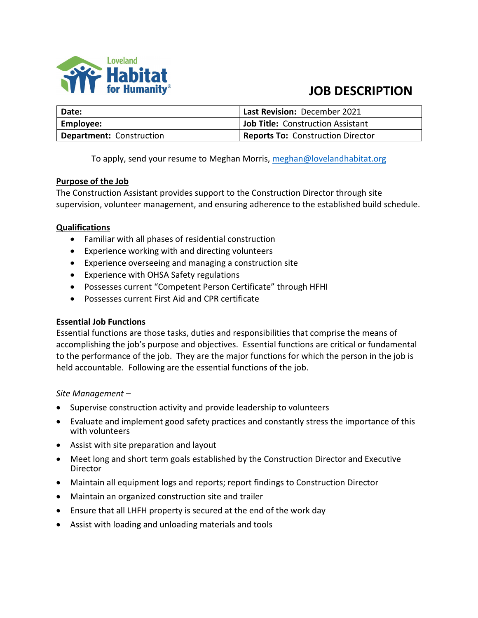

# **JOB DESCRIPTION**

| <b>Date:</b>                    | Last Revision: December 2021             |
|---------------------------------|------------------------------------------|
| <b>Employee:</b>                | <b>Job Title: Construction Assistant</b> |
| <b>Department: Construction</b> | <b>Reports To: Construction Director</b> |

To apply, send your resume to Meghan Morris, [meghan@lovelandhabitat.org](mailto:meghan@lovelandhabitat.org)

#### **Purpose of the Job**

The Construction Assistant provides support to the Construction Director through site supervision, volunteer management, and ensuring adherence to the established build schedule.

### **Qualifications**

- Familiar with all phases of residential construction
- Experience working with and directing volunteers
- Experience overseeing and managing a construction site
- Experience with OHSA Safety regulations
- Possesses current "Competent Person Certificate" through HFHI
- Possesses current First Aid and CPR certificate

#### **Essential Job Functions**

Essential functions are those tasks, duties and responsibilities that comprise the means of accomplishing the job's purpose and objectives. Essential functions are critical or fundamental to the performance of the job. They are the major functions for which the person in the job is held accountable. Following are the essential functions of the job.

#### *Site Management –*

- Supervise construction activity and provide leadership to volunteers
- Evaluate and implement good safety practices and constantly stress the importance of this with volunteers
- Assist with site preparation and layout
- Meet long and short term goals established by the Construction Director and Executive Director
- Maintain all equipment logs and reports; report findings to Construction Director
- Maintain an organized construction site and trailer
- Ensure that all LHFH property is secured at the end of the work day
- Assist with loading and unloading materials and tools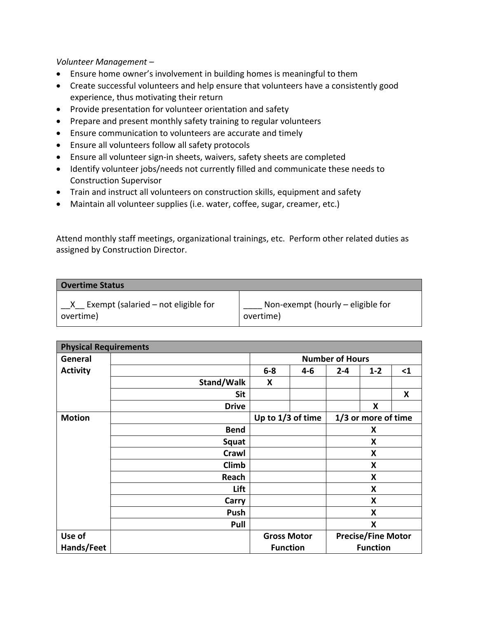*Volunteer Management –* 

- Ensure home owner's involvement in building homes is meaningful to them
- Create successful volunteers and help ensure that volunteers have a consistently good experience, thus motivating their return
- Provide presentation for volunteer orientation and safety
- Prepare and present monthly safety training to regular volunteers
- Ensure communication to volunteers are accurate and timely
- Ensure all volunteers follow all safety protocols
- Ensure all volunteer sign-in sheets, waivers, safety sheets are completed
- Identify volunteer jobs/needs not currently filled and communicate these needs to Construction Supervisor
- Train and instruct all volunteers on construction skills, equipment and safety
- Maintain all volunteer supplies (i.e. water, coffee, sugar, creamer, etc.)

Attend monthly staff meetings, organizational trainings, etc. Perform other related duties as assigned by Construction Director.

| <b>Overtime Status</b>              |                                   |
|-------------------------------------|-----------------------------------|
| Exempt (salaried – not eligible for | Non-exempt (hourly – eligible for |
| overtime)                           | overtime)                         |

| <b>Physical Requirements</b> |              |                        |         |                     |                           |          |  |
|------------------------------|--------------|------------------------|---------|---------------------|---------------------------|----------|--|
| General                      |              | <b>Number of Hours</b> |         |                     |                           |          |  |
| <b>Activity</b>              |              | $6-8$                  | $4 - 6$ | $2 - 4$             | $1 - 2$                   | $\leq 1$ |  |
|                              | Stand/Walk   | X                      |         |                     |                           |          |  |
|                              | Sit          |                        |         |                     |                           | X        |  |
|                              | <b>Drive</b> |                        |         |                     | X                         |          |  |
| <b>Motion</b>                |              | Up to 1/3 of time      |         | 1/3 or more of time |                           |          |  |
|                              | <b>Bend</b>  |                        |         |                     | X                         |          |  |
|                              | Squat        |                        |         | X                   |                           |          |  |
|                              | Crawl        |                        |         |                     | X                         |          |  |
|                              | Climb        |                        |         |                     | X                         |          |  |
|                              | Reach        |                        |         |                     | X                         |          |  |
|                              | Lift         |                        |         |                     | X                         |          |  |
|                              | Carry        |                        |         |                     | X                         |          |  |
|                              | Push         |                        |         | X                   |                           |          |  |
|                              | Pull         |                        |         |                     | X                         |          |  |
| Use of                       |              | <b>Gross Motor</b>     |         |                     | <b>Precise/Fine Motor</b> |          |  |
| Hands/Feet                   |              | <b>Function</b>        |         |                     | <b>Function</b>           |          |  |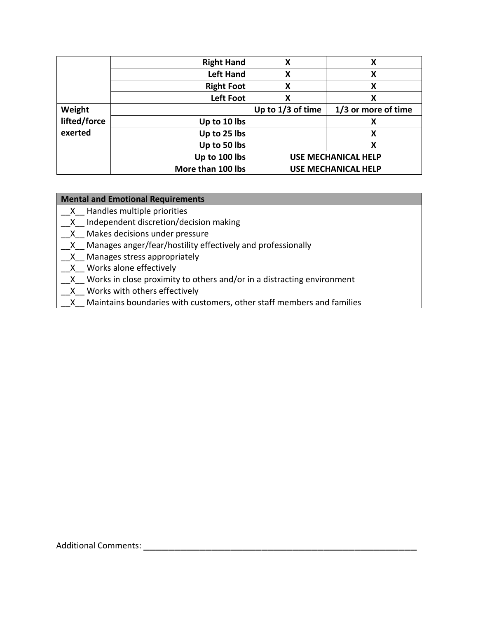|              | <b>Right Hand</b> | х                 | х                          |
|--------------|-------------------|-------------------|----------------------------|
|              | <b>Left Hand</b>  | X                 | Χ                          |
|              | <b>Right Foot</b> | х                 | x                          |
|              | <b>Left Foot</b>  | х                 | χ                          |
| Weight       |                   | Up to 1/3 of time | 1/3 or more of time        |
| lifted/force | Up to 10 lbs      |                   |                            |
| exerted      | Up to 25 lbs      |                   | х                          |
|              | Up to 50 lbs      |                   | х                          |
|              | Up to 100 lbs     |                   | <b>USE MECHANICAL HELP</b> |
|              | More than 100 lbs |                   | <b>USE MECHANICAL HELP</b> |

## **Mental and Emotional Requirements**

- \_\_X\_\_ Handles multiple priorities
- \_\_X\_\_ Independent discretion/decision making
- \_\_X\_\_ Makes decisions under pressure
- \_\_X\_\_ Manages anger/fear/hostility effectively and professionally
- X Manages stress appropriately
- \_\_X\_\_ Works alone effectively
- \_X\_ Works in close proximity to others and/or in a distracting environment
- \_\_X\_\_ Works with others effectively
	- X Maintains boundaries with customers, other staff members and families